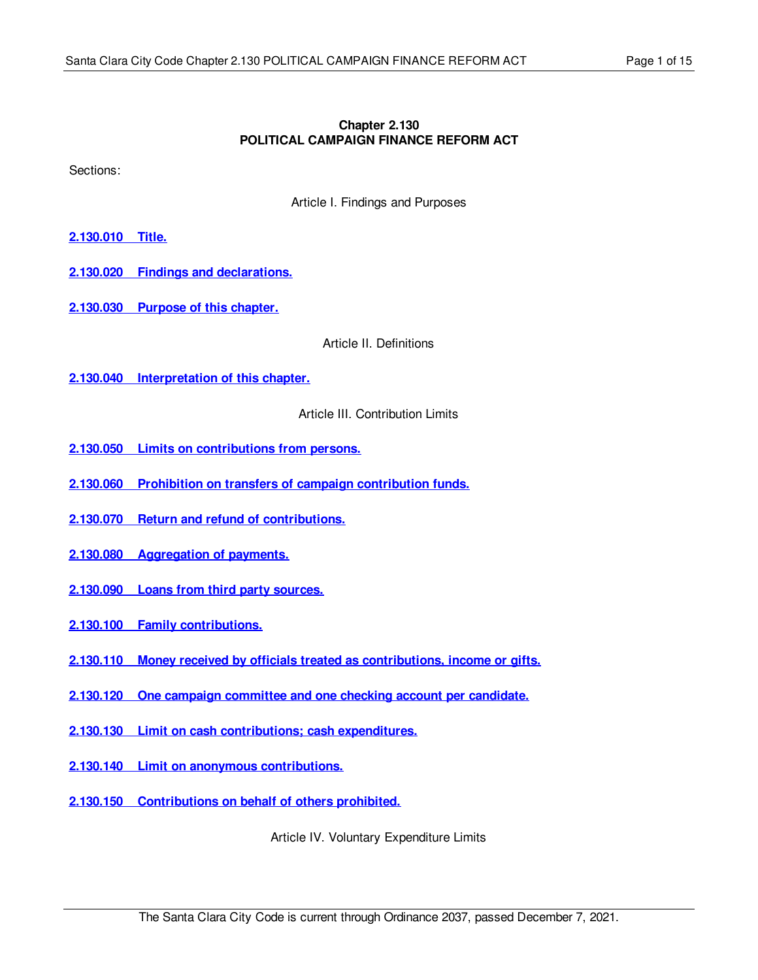## **Chapter 2.130 POLITICAL CAMPAIGN FINANCE REFORM ACT**

Sections:

Article I. Findings and Purposes

- **[2.130.010](#page-2-0) Title.**
- **2.130.020 Findings and [declarations.](#page-2-1)**
- **[2.130.030](#page-3-0) Purpose of this chapter.**

Article II. Definitions

**2.130.040 [Interpretation](#page-4-0) of this chapter.**

Article III. Contribution Limits

- **2.130.050 Limits on [contributions](#page-4-1) from persons.**
- **2.130.060 Prohibition on transfers of campaign [contribution](#page-5-0) funds.**
- **2.130.070 Return and refund of [contributions.](#page-5-1)**
- **2.130.080 [Aggregation](#page-6-0) of payments.**
- **[2.130.090](#page-6-1) Loans from third party sources.**
- **2.130.100 Family [contributions.](#page-7-0)**
- **2.130.110 Money received by officials treated as [contributions,](#page-7-1) income or gifts.**
- **2.130.120 One campaign [committee](#page-7-2) and one checking account per candidate.**
- **2.130.130 Limit on cash [contributions;](#page-7-3) cash expenditures.**
- **2.130.140 Limit on anonymous [contributions.](#page-8-0)**
- **2.130.150 [Contributions](#page-8-1) on behalf of others prohibited.**

Article IV. Voluntary Expenditure Limits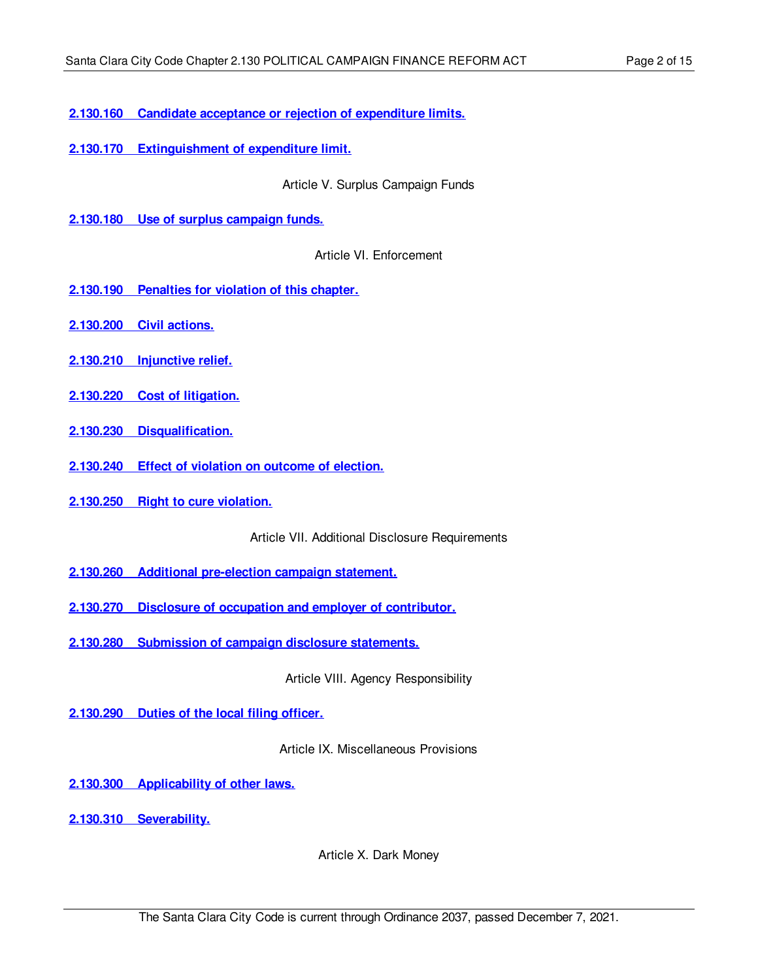**2.130.160 Candidate acceptance or rejection of [expenditure](#page-8-2) limits.**

**2.130.170 [Extinguishment](#page-9-0) of expenditure limit.**

Article V. Surplus Campaign Funds

**2.130.180 Use of surplus [campaign](#page-9-1) funds.**

Article VI. Enforcement

- **2.130.190 [Penalties](#page-10-0) for violation of this chapter.**
- **[2.130.200](#page-10-1) Civil actions.**
- **2.130.210 [Injunctive](#page-11-0) relief.**
- **2.130.220 Cost of [litigation.](#page-11-1)**
- **2.130.230 [Disqualification.](#page-11-2)**
- **[2.130.240](#page-11-3) Effect of violation on outcome of election.**
- **[2.130.250](#page-12-0) Right to cure violation.**

Article VII. Additional Disclosure Requirements

- **2.130.260 Additional [pre-election](#page-12-1) campaign statement.**
- **2.130.270 Disclosure of occupation and employer of [contributor.](#page-12-2)**
- **2.130.280 [Submission](#page-12-3) of campaign disclosure statements.**

Article VIII. Agency Responsibility

**[2.130.290](#page-12-4) Duties of the local filing officer.**

Article IX. Miscellaneous Provisions

**2.130.300 [Applicability](#page-12-5) of other laws.**

**2.130.310 [Severability.](#page-13-0)**

Article X. Dark Money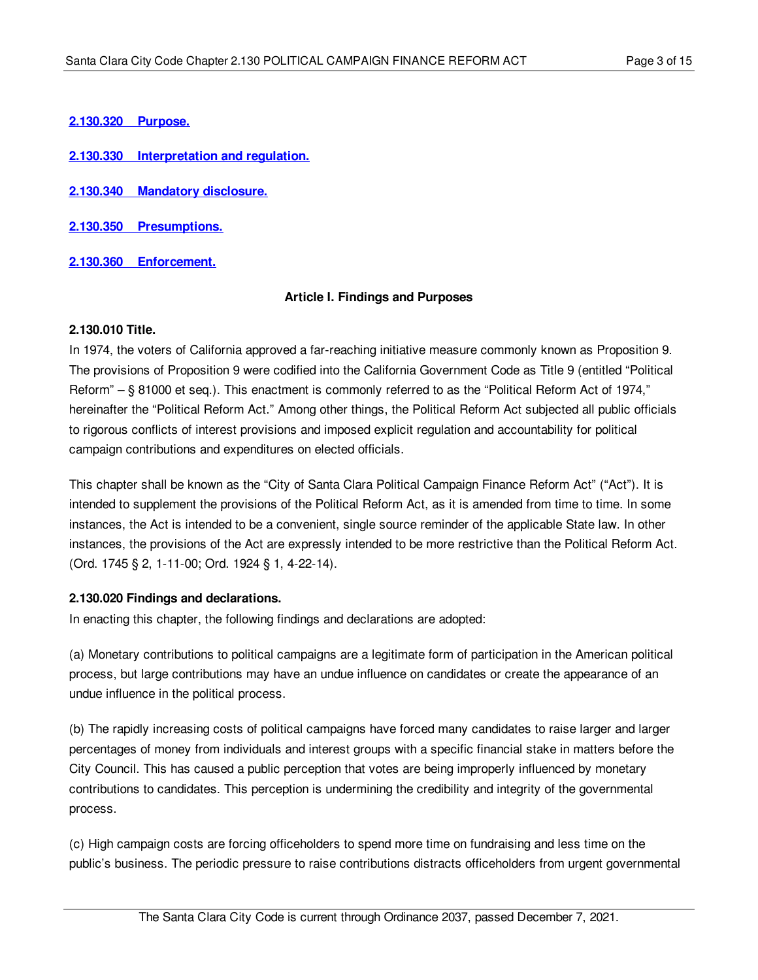**[2.130.320](#page-13-1) Purpose.**

- **2.130.330 [Interpretation](#page-13-2) and regulation.**
- **2.130.340 Mandatory [disclosure.](#page-13-3)**
- **2.130.350 [Presumptions.](#page-13-4)**
- **2.130.360 [Enforcement.](#page-13-5)**

#### **Article I. Findings and Purposes**

## <span id="page-2-0"></span>**2.130.010 Title.**

In 1974, the voters of California approved a far-reaching initiative measure commonly known as Proposition 9. The provisions of Proposition 9 were codified into the California Government Code as Title 9 (entitled "Political Reform" – § 81000 et seq.). This enactment is commonly referred to as the "Political Reform Act of 1974," hereinafter the "Political Reform Act." Among other things, the Political Reform Act subjected all public officials to rigorous conflicts of interest provisions and imposed explicit regulation and accountability for political campaign contributions and expenditures on elected officials.

This chapter shall be known as the "City of Santa Clara Political Campaign Finance Reform Act" ("Act"). It is intended to supplement the provisions of the Political Reform Act, as it is amended from time to time. In some instances, the Act is intended to be a convenient, single source reminder of the applicable State law. In other instances, the provisions of the Act are expressly intended to be more restrictive than the Political Reform Act. (Ord. 1745 § 2, 1-11-00; Ord. 1924 § 1, 4-22-14).

# <span id="page-2-1"></span>**2.130.020 Findings and declarations.**

In enacting this chapter, the following findings and declarations are adopted:

(a) Monetary contributions to political campaigns are a legitimate form of participation in the American political process, but large contributions may have an undue influence on candidates or create the appearance of an undue influence in the political process.

(b) The rapidly increasing costs of political campaigns have forced many candidates to raise larger and larger percentages of money from individuals and interest groups with a specific financial stake in matters before the City Council. This has caused a public perception that votes are being improperly influenced by monetary contributions to candidates. This perception is undermining the credibility and integrity of the governmental process.

(c) High campaign costs are forcing officeholders to spend more time on fundraising and less time on the public's business. The periodic pressure to raise contributions distracts officeholders from urgent governmental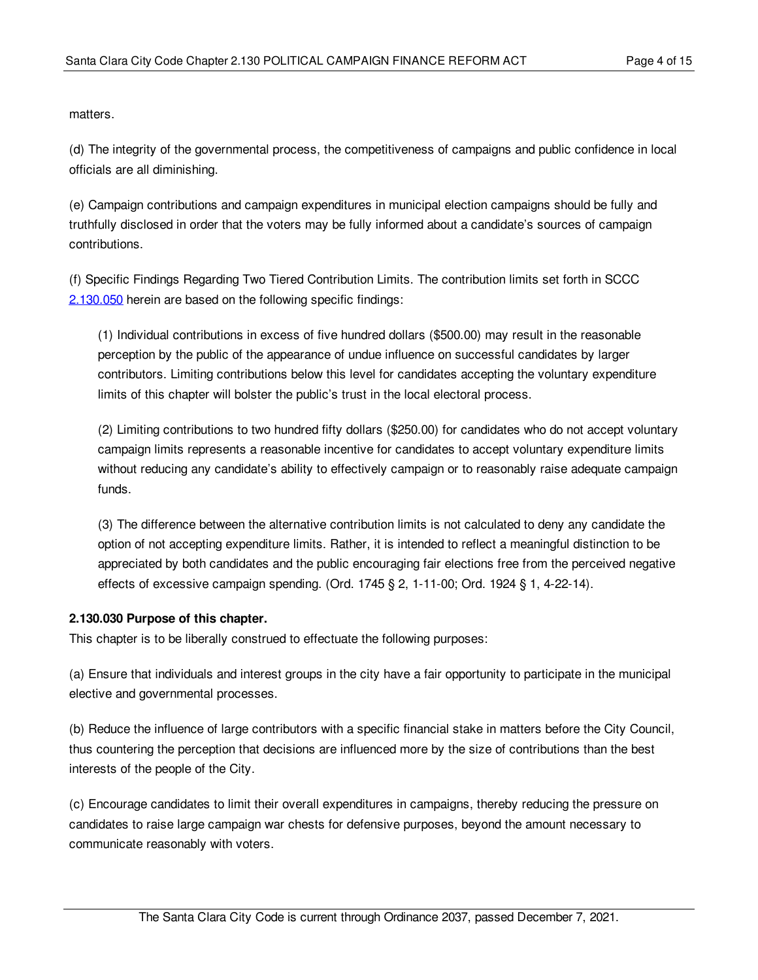matters.

(d) The integrity of the governmental process, the competitiveness of campaigns and public confidence in local officials are all diminishing.

(e) Campaign contributions and campaign expenditures in municipal election campaigns should be fully and truthfully disclosed in order that the voters may be fully informed about a candidate's sources of campaign contributions.

(f) Specific Findings Regarding Two Tiered Contribution Limits. The contribution limits set forth in SCCC [2.130.050](#page-4-1) herein are based on the following specific findings:

(1) Individual contributions in excess of five hundred dollars (\$500.00) may result in the reasonable perception by the public of the appearance of undue influence on successful candidates by larger contributors. Limiting contributions below this level for candidates accepting the voluntary expenditure limits of this chapter will bolster the public's trust in the local electoral process.

(2) Limiting contributions to two hundred fifty dollars (\$250.00) for candidates who do not accept voluntary campaign limits represents a reasonable incentive for candidates to accept voluntary expenditure limits without reducing any candidate's ability to effectively campaign or to reasonably raise adequate campaign funds.

(3) The difference between the alternative contribution limits is not calculated to deny any candidate the option of not accepting expenditure limits. Rather, it is intended to reflect a meaningful distinction to be appreciated by both candidates and the public encouraging fair elections free from the perceived negative effects of excessive campaign spending. (Ord. 1745 § 2, 1-11-00; Ord. 1924 § 1, 4-22-14).

# <span id="page-3-0"></span>**2.130.030 Purpose of this chapter.**

This chapter is to be liberally construed to effectuate the following purposes:

(a) Ensure that individuals and interest groups in the city have a fair opportunity to participate in the municipal elective and governmental processes.

(b) Reduce the influence of large contributors with a specific financial stake in matters before the City Council, thus countering the perception that decisions are influenced more by the size of contributions than the best interests of the people of the City.

(c) Encourage candidates to limit their overall expenditures in campaigns, thereby reducing the pressure on candidates to raise large campaign war chests for defensive purposes, beyond the amount necessary to communicate reasonably with voters.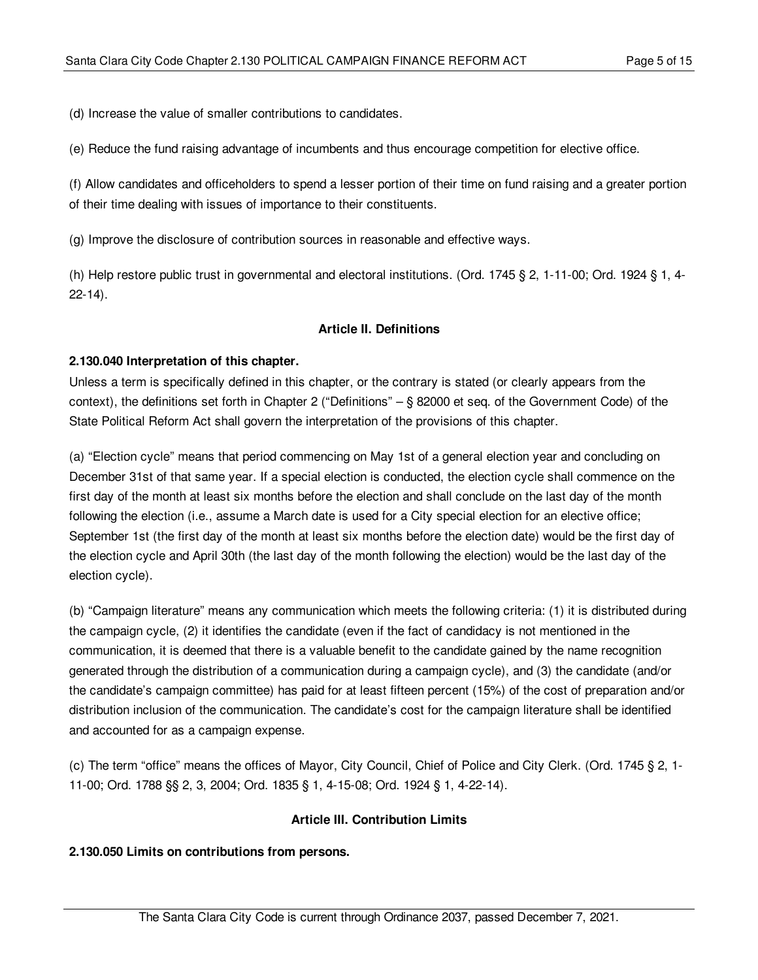(d) Increase the value of smaller contributions to candidates.

(e) Reduce the fund raising advantage of incumbents and thus encourage competition for elective office.

(f) Allow candidates and officeholders to spend a lesser portion of their time on fund raising and a greater portion of their time dealing with issues of importance to their constituents.

(g) Improve the disclosure of contribution sources in reasonable and effective ways.

(h) Help restore public trust in governmental and electoral institutions. (Ord. 1745 § 2, 1-11-00; Ord. 1924 § 1, 4- 22-14).

## **Article II. Definitions**

## <span id="page-4-0"></span>**2.130.040 Interpretation of this chapter.**

Unless a term is specifically defined in this chapter, or the contrary is stated (or clearly appears from the context), the definitions set forth in Chapter 2 ("Definitions" – § 82000 et seq. of the Government Code) of the State Political Reform Act shall govern the interpretation of the provisions of this chapter.

(a) "Election cycle" means that period commencing on May 1st of a general election year and concluding on December 31st of that same year. If a special election is conducted, the election cycle shall commence on the first day of the month at least six months before the election and shall conclude on the last day of the month following the election (i.e., assume a March date is used for a City special election for an elective office; September 1st (the first day of the month at least six months before the election date) would be the first day of the election cycle and April 30th (the last day of the month following the election) would be the last day of the election cycle).

(b) "Campaign literature" means any communication which meets the following criteria: (1) it is distributed during the campaign cycle, (2) it identifies the candidate (even if the fact of candidacy is not mentioned in the communication, it is deemed that there is a valuable benefit to the candidate gained by the name recognition generated through the distribution of a communication during a campaign cycle), and (3) the candidate (and/or the candidate's campaign committee) has paid for at least fifteen percent (15%) of the cost of preparation and/or distribution inclusion of the communication. The candidate's cost for the campaign literature shall be identified and accounted for as a campaign expense.

(c) The term "office" means the offices of Mayor, City Council, Chief of Police and City Clerk. (Ord. 1745 § 2, 1- 11-00; Ord. 1788 §§ 2, 3, 2004; Ord. 1835 § 1, 4-15-08; Ord. 1924 § 1, 4-22-14).

#### **Article III. Contribution Limits**

#### <span id="page-4-1"></span>**2.130.050 Limits on contributions from persons.**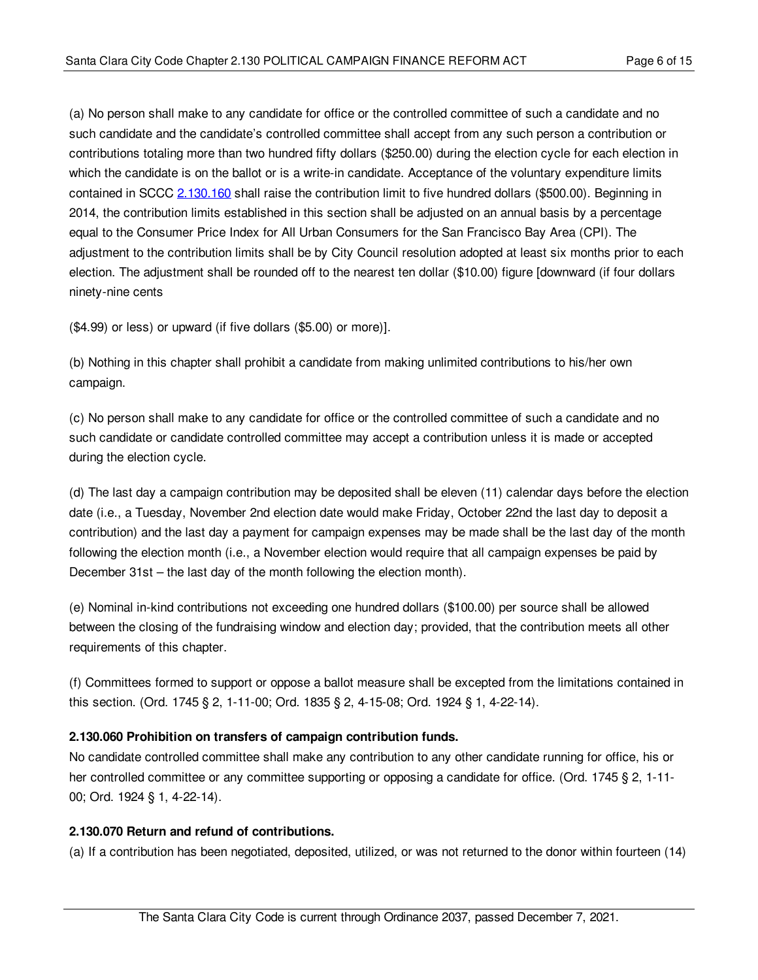(a) No person shall make to any candidate for office or the controlled committee of such a candidate and no such candidate and the candidate's controlled committee shall accept from any such person a contribution or contributions totaling more than two hundred fifty dollars (\$250.00) during the election cycle for each election in which the candidate is on the ballot or is a write-in candidate. Acceptance of the voluntary expenditure limits contained in SCCC [2.130.160](#page-8-2) shall raise the contribution limit to five hundred dollars (\$500.00). Beginning in 2014, the contribution limits established in this section shall be adjusted on an annual basis by a percentage equal to the Consumer Price Index for All Urban Consumers for the San Francisco Bay Area (CPI). The adjustment to the contribution limits shall be by City Council resolution adopted at least six months prior to each election. The adjustment shall be rounded off to the nearest ten dollar (\$10.00) figure [downward (if four dollars ninety-nine cents

(\$4.99) or less) or upward (if five dollars (\$5.00) or more)].

(b) Nothing in this chapter shall prohibit a candidate from making unlimited contributions to his/her own campaign.

(c) No person shall make to any candidate for office or the controlled committee of such a candidate and no such candidate or candidate controlled committee may accept a contribution unless it is made or accepted during the election cycle.

(d) The last day a campaign contribution may be deposited shall be eleven (11) calendar days before the election date (i.e., a Tuesday, November 2nd election date would make Friday, October 22nd the last day to deposit a contribution) and the last day a payment for campaign expenses may be made shall be the last day of the month following the election month (i.e., a November election would require that all campaign expenses be paid by December 31st – the last day of the month following the election month).

(e) Nominal in-kind contributions not exceeding one hundred dollars (\$100.00) per source shall be allowed between the closing of the fundraising window and election day; provided, that the contribution meets all other requirements of this chapter.

(f) Committees formed to support or oppose a ballot measure shall be excepted from the limitations contained in this section. (Ord. 1745 § 2, 1-11-00; Ord. 1835 § 2, 4-15-08; Ord. 1924 § 1, 4-22-14).

# <span id="page-5-0"></span>**2.130.060 Prohibition on transfers of campaign contribution funds.**

No candidate controlled committee shall make any contribution to any other candidate running for office, his or her controlled committee or any committee supporting or opposing a candidate for office. (Ord. 1745 § 2, 1-11-00; Ord. 1924 § 1, 4-22-14).

# <span id="page-5-1"></span>**2.130.070 Return and refund of contributions.**

(a) If a contribution has been negotiated, deposited, utilized, or was not returned to the donor within fourteen (14)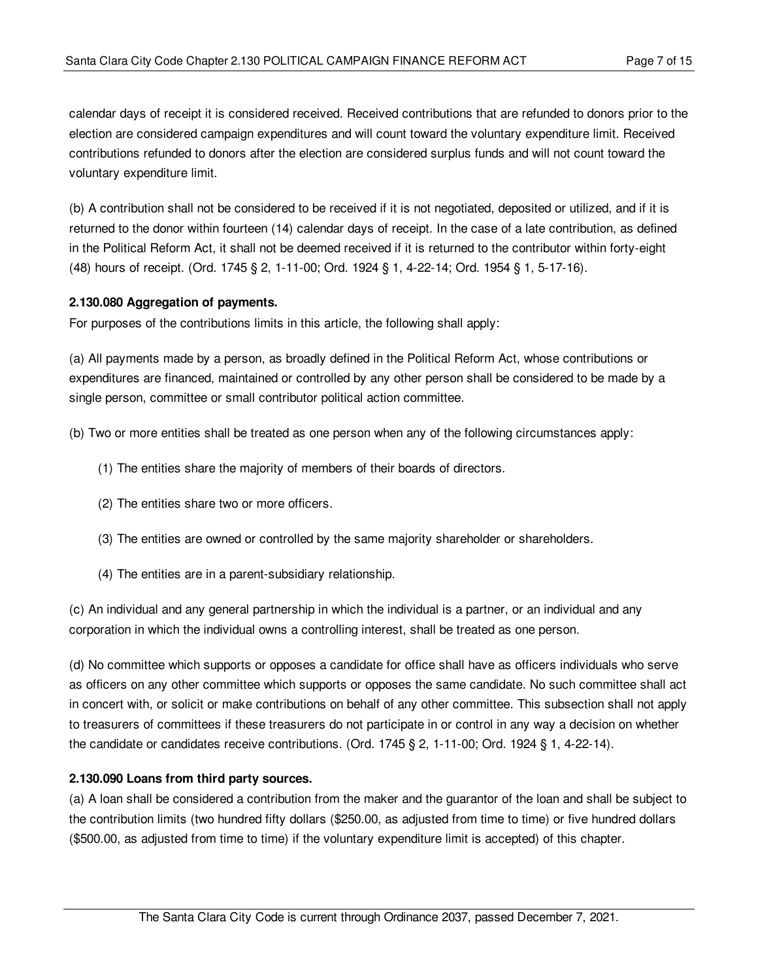calendar days of receipt it is considered received. Received contributions that are refunded to donors prior to the election are considered campaign expenditures and will count toward the voluntary expenditure limit. Received contributions refunded to donors after the election are considered surplus funds and will not count toward the voluntary expenditure limit.

(b) A contribution shall not be considered to be received if it is not negotiated, deposited or utilized, and if it is returned to the donor within fourteen (14) calendar days of receipt. In the case of a late contribution, as defined in the Political Reform Act, it shall not be deemed received if it is returned to the contributor within forty-eight (48) hours of receipt. (Ord. 1745 § 2, 1-11-00; Ord. 1924 § 1, 4-22-14; Ord. 1954 § 1, 5-17-16).

## <span id="page-6-0"></span>**2.130.080 Aggregation of payments.**

For purposes of the contributions limits in this article, the following shall apply:

(a) All payments made by a person, as broadly defined in the Political Reform Act, whose contributions or expenditures are financed, maintained or controlled by any other person shall be considered to be made by a single person, committee or small contributor political action committee.

(b) Two or more entities shall be treated as one person when any of the following circumstances apply:

- (1) The entities share the majority of members of their boards of directors.
- (2) The entities share two or more officers.
- (3) The entities are owned or controlled by the same majority shareholder or shareholders.
- (4) The entities are in a parent-subsidiary relationship.

(c) An individual and any general partnership in which the individual is a partner, or an individual and any corporation in which the individual owns a controlling interest, shall be treated as one person.

(d) No committee which supports or opposes a candidate for office shall have as officers individuals who serve as officers on any other committee which supports or opposes the same candidate. No such committee shall act in concert with, or solicit or make contributions on behalf of any other committee. This subsection shall not apply to treasurers of committees if these treasurers do not participate in or control in any way a decision on whether the candidate or candidates receive contributions. (Ord. 1745 § 2, 1-11-00; Ord. 1924 § 1, 4-22-14).

#### <span id="page-6-1"></span>**2.130.090 Loans from third party sources.**

(a) A loan shall be considered a contribution from the maker and the guarantor of the loan and shall be subject to the contribution limits (two hundred fifty dollars (\$250.00, as adjusted from time to time) or five hundred dollars (\$500.00, as adjusted from time to time) if the voluntary expenditure limit is accepted) of this chapter.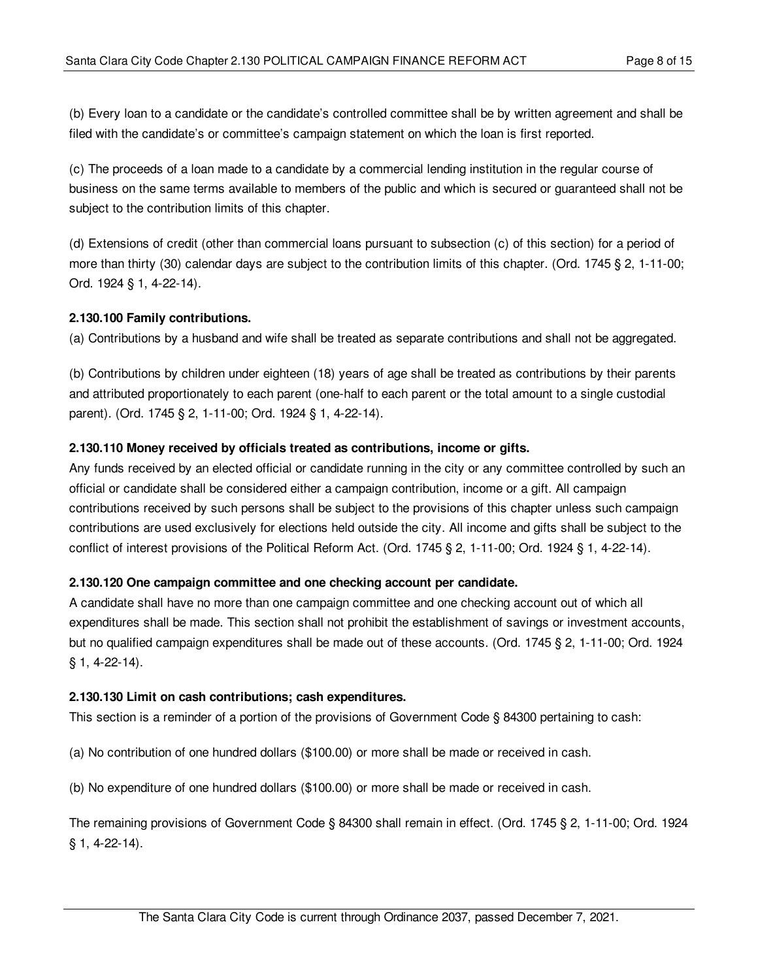(b) Every loan to a candidate or the candidate's controlled committee shall be by written agreement and shall be filed with the candidate's or committee's campaign statement on which the loan is first reported.

(c) The proceeds of a loan made to a candidate by a commercial lending institution in the regular course of business on the same terms available to members of the public and which is secured or guaranteed shall not be subject to the contribution limits of this chapter.

(d) Extensions of credit (other than commercial loans pursuant to subsection (c) of this section) for a period of more than thirty (30) calendar days are subject to the contribution limits of this chapter. (Ord. 1745 § 2, 1-11-00; Ord. 1924 § 1, 4-22-14).

## <span id="page-7-0"></span>**2.130.100 Family contributions.**

(a) Contributions by a husband and wife shall be treated as separate contributions and shall not be aggregated.

(b) Contributions by children under eighteen (18) years of age shall be treated as contributions by their parents and attributed proportionately to each parent (one-half to each parent or the total amount to a single custodial parent). (Ord. 1745 § 2, 1-11-00; Ord. 1924 § 1, 4-22-14).

#### <span id="page-7-1"></span>**2.130.110 Money received by officials treated as contributions, income or gifts.**

Any funds received by an elected official or candidate running in the city or any committee controlled by such an official or candidate shall be considered either a campaign contribution, income or a gift. All campaign contributions received by such persons shall be subject to the provisions of this chapter unless such campaign contributions are used exclusively for elections held outside the city. All income and gifts shall be subject to the conflict of interest provisions of the Political Reform Act. (Ord. 1745 § 2, 1-11-00; Ord. 1924 § 1, 4-22-14).

# <span id="page-7-2"></span>**2.130.120 One campaign committee and one checking account per candidate.**

A candidate shall have no more than one campaign committee and one checking account out of which all expenditures shall be made. This section shall not prohibit the establishment of savings or investment accounts, but no qualified campaign expenditures shall be made out of these accounts. (Ord. 1745 § 2, 1-11-00; Ord. 1924 § 1, 4-22-14).

#### <span id="page-7-3"></span>**2.130.130 Limit on cash contributions; cash expenditures.**

This section is a reminder of a portion of the provisions of Government Code § 84300 pertaining to cash:

(a) No contribution of one hundred dollars (\$100.00) or more shall be made or received in cash.

(b) No expenditure of one hundred dollars (\$100.00) or more shall be made or received in cash.

The remaining provisions of Government Code § 84300 shall remain in effect. (Ord. 1745 § 2, 1-11-00; Ord. 1924 § 1, 4-22-14).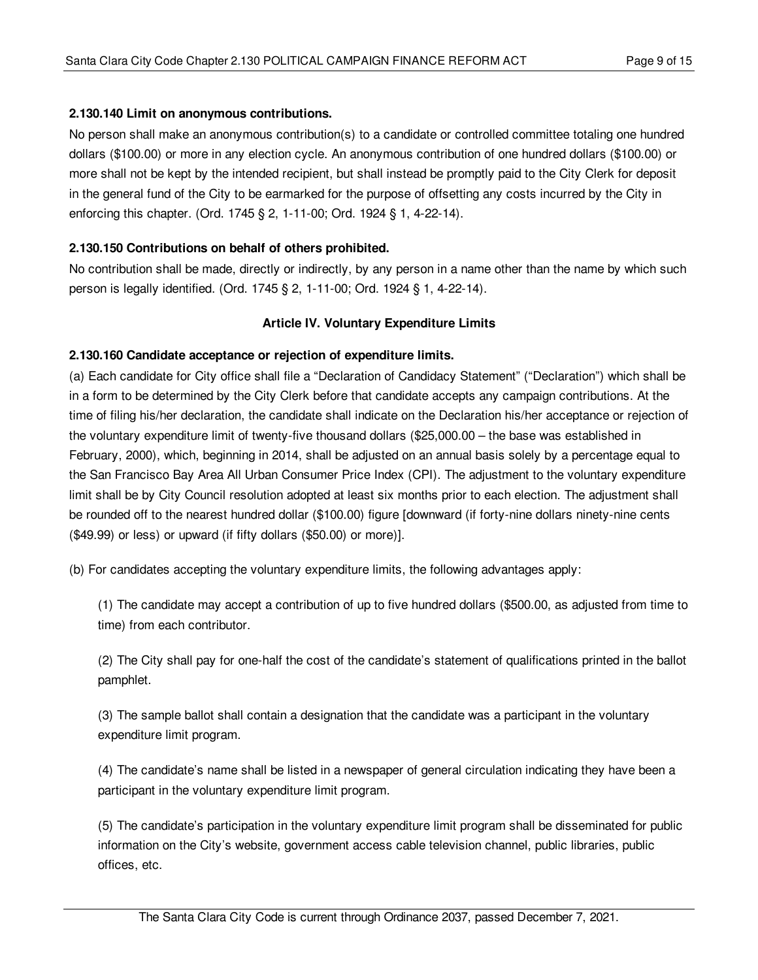## <span id="page-8-0"></span>**2.130.140 Limit on anonymous contributions.**

No person shall make an anonymous contribution(s) to a candidate or controlled committee totaling one hundred dollars (\$100.00) or more in any election cycle. An anonymous contribution of one hundred dollars (\$100.00) or more shall not be kept by the intended recipient, but shall instead be promptly paid to the City Clerk for deposit in the general fund of the City to be earmarked for the purpose of offsetting any costs incurred by the City in enforcing this chapter. (Ord. 1745 § 2, 1-11-00; Ord. 1924 § 1, 4-22-14).

# <span id="page-8-1"></span>**2.130.150 Contributions on behalf of others prohibited.**

No contribution shall be made, directly or indirectly, by any person in a name other than the name by which such person is legally identified. (Ord. 1745 § 2, 1-11-00; Ord. 1924 § 1, 4-22-14).

## **Article IV. Voluntary Expenditure Limits**

#### <span id="page-8-2"></span>**2.130.160 Candidate acceptance or rejection of expenditure limits.**

(a) Each candidate for City office shall file a "Declaration of Candidacy Statement" ("Declaration") which shall be in a form to be determined by the City Clerk before that candidate accepts any campaign contributions. At the time of filing his/her declaration, the candidate shall indicate on the Declaration his/her acceptance or rejection of the voluntary expenditure limit of twenty-five thousand dollars (\$25,000.00 – the base was established in February, 2000), which, beginning in 2014, shall be adjusted on an annual basis solely by a percentage equal to the San Francisco Bay Area All Urban Consumer Price Index (CPI). The adjustment to the voluntary expenditure limit shall be by City Council resolution adopted at least six months prior to each election. The adjustment shall be rounded off to the nearest hundred dollar (\$100.00) figure [downward (if forty-nine dollars ninety-nine cents (\$49.99) or less) or upward (if fifty dollars (\$50.00) or more)].

(b) For candidates accepting the voluntary expenditure limits, the following advantages apply:

(1) The candidate may accept a contribution of up to five hundred dollars (\$500.00, as adjusted from time to time) from each contributor.

(2) The City shall pay for one-half the cost of the candidate's statement of qualifications printed in the ballot pamphlet.

(3) The sample ballot shall contain a designation that the candidate was a participant in the voluntary expenditure limit program.

(4) The candidate's name shall be listed in a newspaper of general circulation indicating they have been a participant in the voluntary expenditure limit program.

(5) The candidate's participation in the voluntary expenditure limit program shall be disseminated for public information on the City's website, government access cable television channel, public libraries, public offices, etc.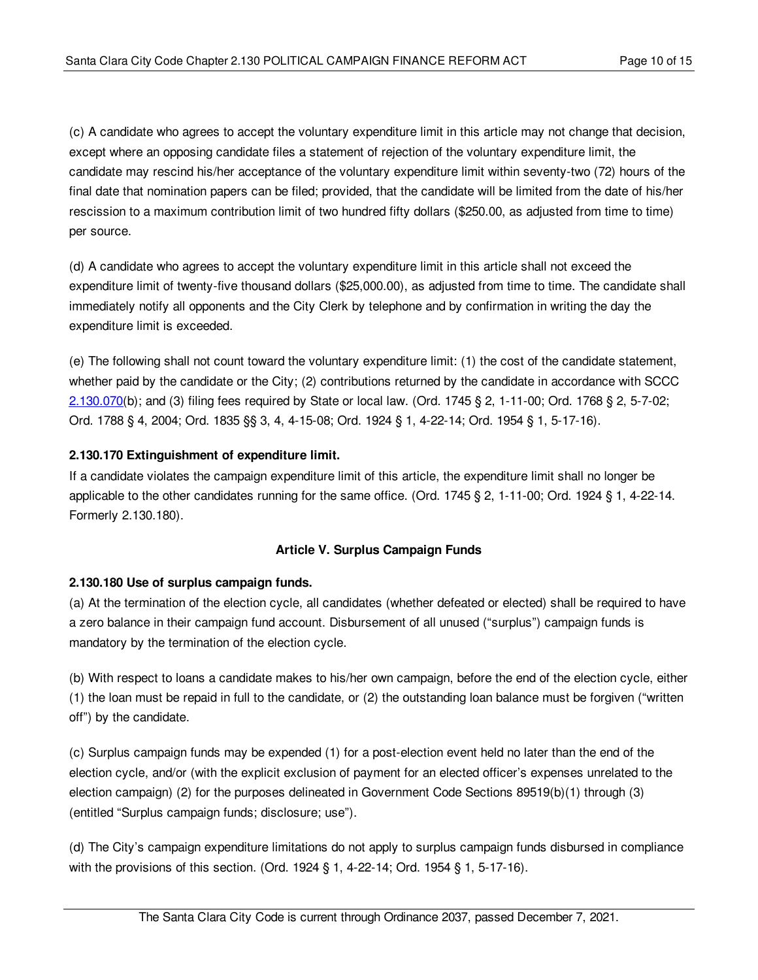(c) A candidate who agrees to accept the voluntary expenditure limit in this article may not change that decision, except where an opposing candidate files a statement of rejection of the voluntary expenditure limit, the candidate may rescind his/her acceptance of the voluntary expenditure limit within seventy-two (72) hours of the final date that nomination papers can be filed; provided, that the candidate will be limited from the date of his/her rescission to a maximum contribution limit of two hundred fifty dollars (\$250.00, as adjusted from time to time) per source.

(d) A candidate who agrees to accept the voluntary expenditure limit in this article shall not exceed the expenditure limit of twenty-five thousand dollars (\$25,000.00), as adjusted from time to time. The candidate shall immediately notify all opponents and the City Clerk by telephone and by confirmation in writing the day the expenditure limit is exceeded.

(e) The following shall not count toward the voluntary expenditure limit: (1) the cost of the candidate statement, whether paid by the candidate or the City; (2) contributions returned by the candidate in accordance with SCCC [2.130.070](#page-5-1)(b); and (3) filing fees required by State or local law. (Ord. 1745 § 2, 1-11-00; Ord. 1768 § 2, 5-7-02; Ord. 1788 § 4, 2004; Ord. 1835 §§ 3, 4, 4-15-08; Ord. 1924 § 1, 4-22-14; Ord. 1954 § 1, 5-17-16).

# <span id="page-9-0"></span>**2.130.170 Extinguishment of expenditure limit.**

If a candidate violates the campaign expenditure limit of this article, the expenditure limit shall no longer be applicable to the other candidates running for the same office. (Ord. 1745 § 2, 1-11-00; Ord. 1924 § 1, 4-22-14. Formerly 2.130.180).

# **Article V. Surplus Campaign Funds**

# <span id="page-9-1"></span>**2.130.180 Use of surplus campaign funds.**

(a) At the termination of the election cycle, all candidates (whether defeated or elected) shall be required to have a zero balance in their campaign fund account. Disbursement of all unused ("surplus") campaign funds is mandatory by the termination of the election cycle.

(b) With respect to loans a candidate makes to his/her own campaign, before the end of the election cycle, either (1) the loan must be repaid in full to the candidate, or (2) the outstanding loan balance must be forgiven ("written off") by the candidate.

(c) Surplus campaign funds may be expended (1) for a post-election event held no later than the end of the election cycle, and/or (with the explicit exclusion of payment for an elected officer's expenses unrelated to the election campaign) (2) for the purposes delineated in Government Code Sections 89519(b)(1) through (3) (entitled "Surplus campaign funds; disclosure; use").

(d) The City's campaign expenditure limitations do not apply to surplus campaign funds disbursed in compliance with the provisions of this section. (Ord. 1924 § 1, 4-22-14; Ord. 1954 § 1, 5-17-16).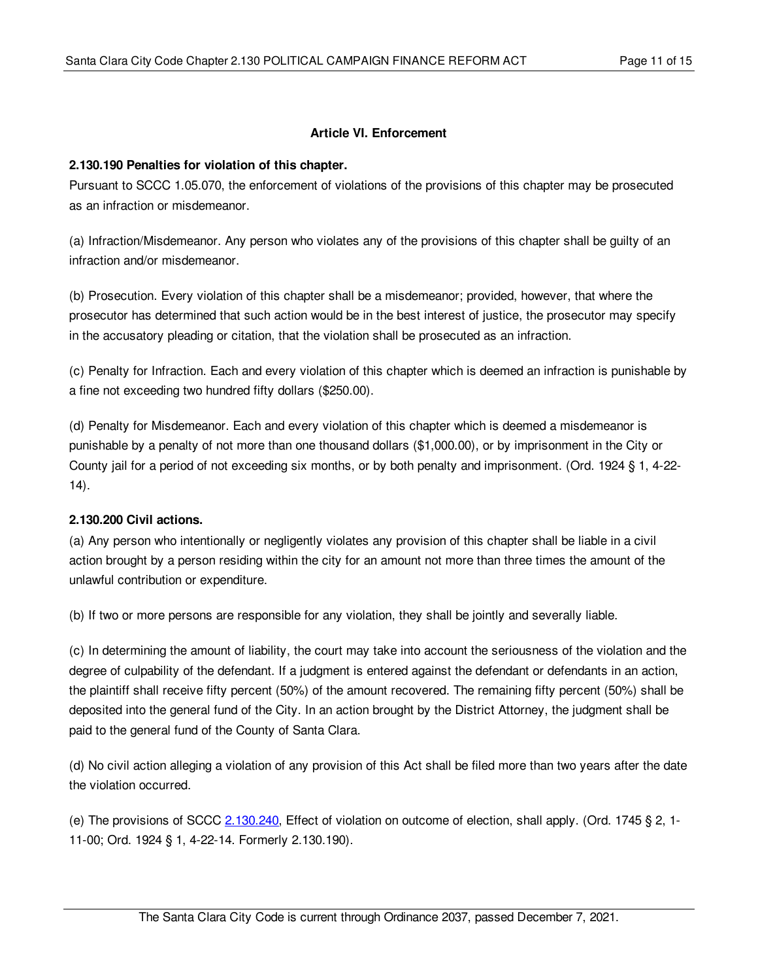### **Article VI. Enforcement**

#### <span id="page-10-0"></span>**2.130.190 Penalties for violation of this chapter.**

Pursuant to SCCC 1.05.070, the enforcement of violations of the provisions of this chapter may be prosecuted as an infraction or misdemeanor.

(a) Infraction/Misdemeanor. Any person who violates any of the provisions of this chapter shall be guilty of an infraction and/or misdemeanor.

(b) Prosecution. Every violation of this chapter shall be a misdemeanor; provided, however, that where the prosecutor has determined that such action would be in the best interest of justice, the prosecutor may specify in the accusatory pleading or citation, that the violation shall be prosecuted as an infraction.

(c) Penalty for Infraction. Each and every violation of this chapter which is deemed an infraction is punishable by a fine not exceeding two hundred fifty dollars (\$250.00).

(d) Penalty for Misdemeanor. Each and every violation of this chapter which is deemed a misdemeanor is punishable by a penalty of not more than one thousand dollars (\$1,000.00), or by imprisonment in the City or County jail for a period of not exceeding six months, or by both penalty and imprisonment. (Ord. 1924 § 1, 4-22- 14).

# <span id="page-10-1"></span>**2.130.200 Civil actions.**

(a) Any person who intentionally or negligently violates any provision of this chapter shall be liable in a civil action brought by a person residing within the city for an amount not more than three times the amount of the unlawful contribution or expenditure.

(b) If two or more persons are responsible for any violation, they shall be jointly and severally liable.

(c) In determining the amount of liability, the court may take into account the seriousness of the violation and the degree of culpability of the defendant. If a judgment is entered against the defendant or defendants in an action, the plaintiff shall receive fifty percent (50%) of the amount recovered. The remaining fifty percent (50%) shall be deposited into the general fund of the City. In an action brought by the District Attorney, the judgment shall be paid to the general fund of the County of Santa Clara.

(d) No civil action alleging a violation of any provision of this Act shall be filed more than two years after the date the violation occurred.

(e) The provisions of SCCC [2.130.240](#page-11-3), Effect of violation on outcome of election, shall apply. (Ord. 1745 § 2, 1- 11-00; Ord. 1924 § 1, 4-22-14. Formerly 2.130.190).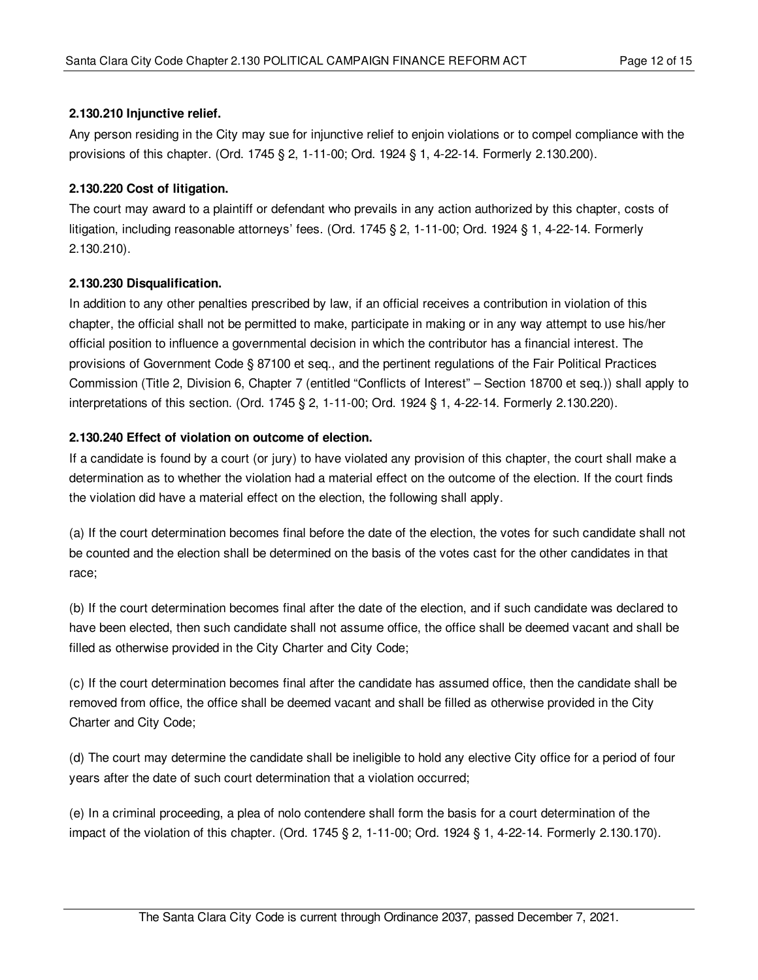# <span id="page-11-0"></span>**2.130.210 Injunctive relief.**

Any person residing in the City may sue for injunctive relief to enjoin violations or to compel compliance with the provisions of this chapter. (Ord. 1745 § 2, 1-11-00; Ord. 1924 § 1, 4-22-14. Formerly 2.130.200).

# <span id="page-11-1"></span>**2.130.220 Cost of litigation.**

The court may award to a plaintiff or defendant who prevails in any action authorized by this chapter, costs of litigation, including reasonable attorneys' fees. (Ord. 1745 § 2, 1-11-00; Ord. 1924 § 1, 4-22-14. Formerly 2.130.210).

# <span id="page-11-2"></span>**2.130.230 Disqualification.**

In addition to any other penalties prescribed by law, if an official receives a contribution in violation of this chapter, the official shall not be permitted to make, participate in making or in any way attempt to use his/her official position to influence a governmental decision in which the contributor has a financial interest. The provisions of Government Code § 87100 et seq., and the pertinent regulations of the Fair Political Practices Commission (Title 2, Division 6, Chapter 7 (entitled "Conflicts of Interest" – Section 18700 et seq.)) shall apply to interpretations of this section. (Ord. 1745 § 2, 1-11-00; Ord. 1924 § 1, 4-22-14. Formerly 2.130.220).

## <span id="page-11-3"></span>**2.130.240 Effect of violation on outcome of election.**

If a candidate is found by a court (or jury) to have violated any provision of this chapter, the court shall make a determination as to whether the violation had a material effect on the outcome of the election. If the court finds the violation did have a material effect on the election, the following shall apply.

(a) If the court determination becomes final before the date of the election, the votes for such candidate shall not be counted and the election shall be determined on the basis of the votes cast for the other candidates in that race;

(b) If the court determination becomes final after the date of the election, and if such candidate was declared to have been elected, then such candidate shall not assume office, the office shall be deemed vacant and shall be filled as otherwise provided in the City Charter and City Code;

(c) If the court determination becomes final after the candidate has assumed office, then the candidate shall be removed from office, the office shall be deemed vacant and shall be filled as otherwise provided in the City Charter and City Code;

(d) The court may determine the candidate shall be ineligible to hold any elective City office for a period of four years after the date of such court determination that a violation occurred;

(e) In a criminal proceeding, a plea of nolo contendere shall form the basis for a court determination of the impact of the violation of this chapter. (Ord. 1745 § 2, 1-11-00; Ord. 1924 § 1, 4-22-14. Formerly 2.130.170).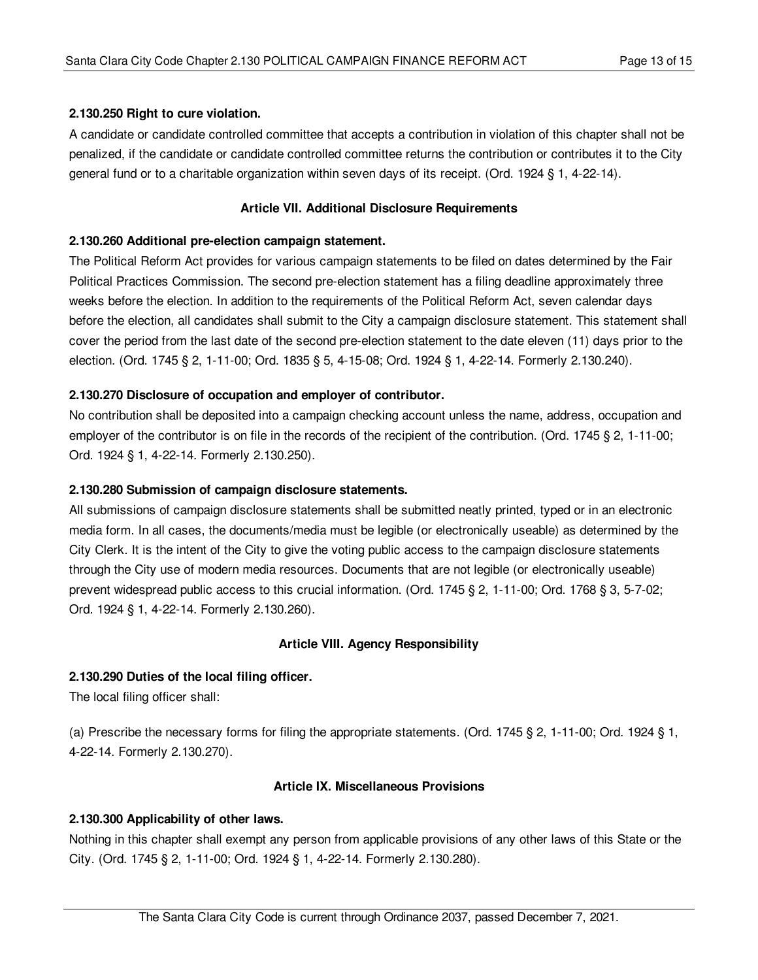## <span id="page-12-0"></span>**2.130.250 Right to cure violation.**

A candidate or candidate controlled committee that accepts a contribution in violation of this chapter shall not be penalized, if the candidate or candidate controlled committee returns the contribution or contributes it to the City general fund or to a charitable organization within seven days of its receipt. (Ord. 1924 § 1, 4-22-14).

## **Article VII. Additional Disclosure Requirements**

### <span id="page-12-1"></span>**2.130.260 Additional pre-election campaign statement.**

The Political Reform Act provides for various campaign statements to be filed on dates determined by the Fair Political Practices Commission. The second pre-election statement has a filing deadline approximately three weeks before the election. In addition to the requirements of the Political Reform Act, seven calendar days before the election, all candidates shall submit to the City a campaign disclosure statement. This statement shall cover the period from the last date of the second pre-election statement to the date eleven (11) days prior to the election. (Ord. 1745 § 2, 1-11-00; Ord. 1835 § 5, 4-15-08; Ord. 1924 § 1, 4-22-14. Formerly 2.130.240).

# <span id="page-12-2"></span>**2.130.270 Disclosure of occupation and employer of contributor.**

No contribution shall be deposited into a campaign checking account unless the name, address, occupation and employer of the contributor is on file in the records of the recipient of the contribution. (Ord. 1745 § 2, 1-11-00; Ord. 1924 § 1, 4-22-14. Formerly 2.130.250).

### <span id="page-12-3"></span>**2.130.280 Submission of campaign disclosure statements.**

All submissions of campaign disclosure statements shall be submitted neatly printed, typed or in an electronic media form. In all cases, the documents/media must be legible (or electronically useable) as determined by the City Clerk. It is the intent of the City to give the voting public access to the campaign disclosure statements through the City use of modern media resources. Documents that are not legible (or electronically useable) prevent widespread public access to this crucial information. (Ord. 1745 § 2, 1-11-00; Ord. 1768 § 3, 5-7-02; Ord. 1924 § 1, 4-22-14. Formerly 2.130.260).

# **Article VIII. Agency Responsibility**

#### <span id="page-12-4"></span>**2.130.290 Duties of the local filing officer.**

The local filing officer shall:

(a) Prescribe the necessary forms for filing the appropriate statements. (Ord. 1745 § 2, 1-11-00; Ord. 1924 § 1, 4-22-14. Formerly 2.130.270).

#### **Article IX. Miscellaneous Provisions**

#### <span id="page-12-5"></span>**2.130.300 Applicability of other laws.**

Nothing in this chapter shall exempt any person from applicable provisions of any other laws of this State or the City. (Ord. 1745 § 2, 1-11-00; Ord. 1924 § 1, 4-22-14. Formerly 2.130.280).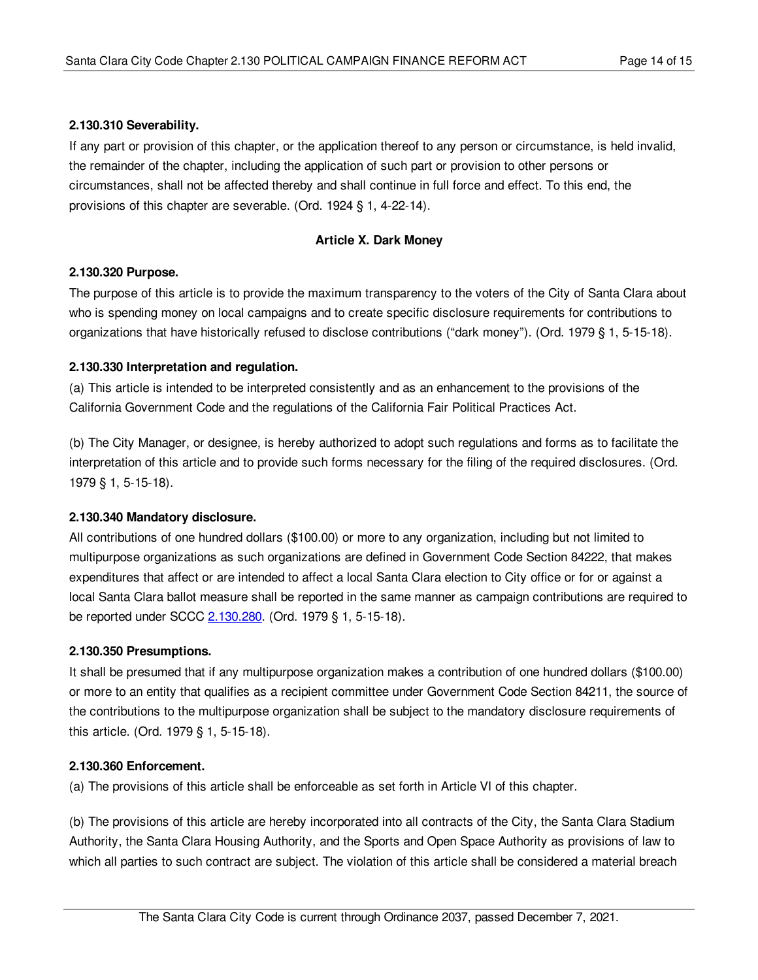## <span id="page-13-0"></span>**2.130.310 Severability.**

If any part or provision of this chapter, or the application thereof to any person or circumstance, is held invalid, the remainder of the chapter, including the application of such part or provision to other persons or circumstances, shall not be affected thereby and shall continue in full force and effect. To this end, the provisions of this chapter are severable. (Ord. 1924 § 1, 4-22-14).

## **Article X. Dark Money**

## <span id="page-13-1"></span>**2.130.320 Purpose.**

The purpose of this article is to provide the maximum transparency to the voters of the City of Santa Clara about who is spending money on local campaigns and to create specific disclosure requirements for contributions to organizations that have historically refused to disclose contributions ("dark money"). (Ord. 1979 § 1, 5-15-18).

## <span id="page-13-2"></span>**2.130.330 Interpretation and regulation.**

(a) This article is intended to be interpreted consistently and as an enhancement to the provisions of the California Government Code and the regulations of the California Fair Political Practices Act.

(b) The City Manager, or designee, is hereby authorized to adopt such regulations and forms as to facilitate the interpretation of this article and to provide such forms necessary for the filing of the required disclosures. (Ord. 1979 § 1, 5-15-18).

# <span id="page-13-3"></span>**2.130.340 Mandatory disclosure.**

All contributions of one hundred dollars (\$100.00) or more to any organization, including but not limited to multipurpose organizations as such organizations are defined in Government Code Section 84222, that makes expenditures that affect or are intended to affect a local Santa Clara election to City office or for or against a local Santa Clara ballot measure shall be reported in the same manner as campaign contributions are required to be reported under SCCC [2.130.280](#page-12-3). (Ord. 1979 § 1, 5-15-18).

#### <span id="page-13-4"></span>**2.130.350 Presumptions.**

It shall be presumed that if any multipurpose organization makes a contribution of one hundred dollars (\$100.00) or more to an entity that qualifies as a recipient committee under Government Code Section 84211, the source of the contributions to the multipurpose organization shall be subject to the mandatory disclosure requirements of this article. (Ord. 1979 § 1, 5-15-18).

#### <span id="page-13-5"></span>**2.130.360 Enforcement.**

(a) The provisions of this article shall be enforceable as set forth in Article VI of this chapter.

(b) The provisions of this article are hereby incorporated into all contracts of the City, the Santa Clara Stadium Authority, the Santa Clara Housing Authority, and the Sports and Open Space Authority as provisions of law to which all parties to such contract are subject. The violation of this article shall be considered a material breach